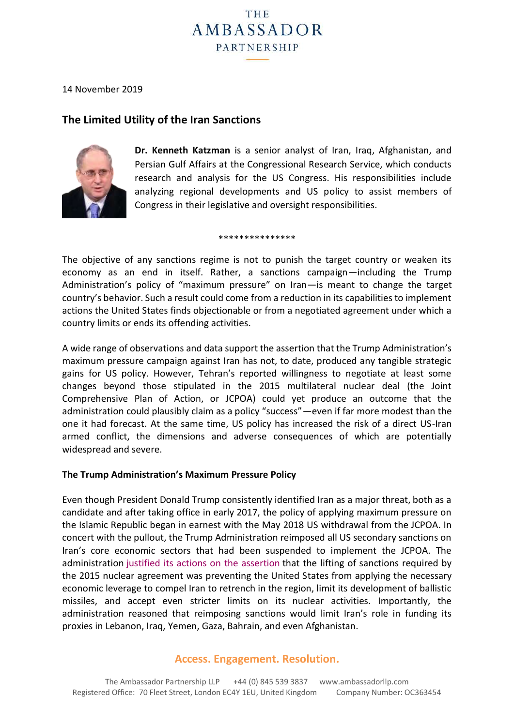

14 November 2019

# **The Limited Utility of the Iran Sanctions**



**Dr. Kenneth Katzman** is a senior analyst of Iran, Iraq, Afghanistan, and Persian Gulf Affairs at the Congressional Research Service, which conducts research and analysis for the US Congress. His responsibilities include analyzing regional developments and US policy to assist members of Congress in their legislative and oversight responsibilities.

#### \*\*\*\*\*\*\*\*\*\*\*\*\*\*\*

The objective of any sanctions regime is not to punish the target country or weaken its economy as an end in itself. Rather, a sanctions campaign—including the Trump Administration's policy of "maximum pressure" on Iran—is meant to change the target country's behavior. Such a result could come from a reduction in its capabilities to implement actions the United States finds objectionable or from a negotiated agreement under which a country limits or ends its offending activities.

A wide range of observations and data support the assertion that the Trump Administration's maximum pressure campaign against Iran has not, to date, produced any tangible strategic gains for US policy. However, Tehran's reported willingness to negotiate at least some changes beyond those stipulated in the 2015 multilateral nuclear deal (the Joint Comprehensive Plan of Action, or JCPOA) could yet produce an outcome that the administration could plausibly claim as a policy "success"—even if far more modest than the one it had forecast. At the same time, US policy has increased the risk of a direct US-Iran armed conflict, the dimensions and adverse consequences of which are potentially widespread and severe.

### **The Trump Administration's Maximum Pressure Policy**

Even though President Donald Trump consistently identified Iran as a major threat, both as a candidate and after taking office in early 2017, the policy of applying maximum pressure on the Islamic Republic began in earnest with the May 2018 US withdrawal from the JCPOA. In concert with the pullout, the Trump Administration reimposed all US secondary sanctions on Iran's core economic sectors that had been suspended to implement the JCPOA. The administration justified its actions on the [assertion](https://www.whitehouse.gov/briefings-statements/remarks-president-trump-joint-comprehensive-plan-action/) that the lifting of sanctions required by the 2015 nuclear agreement was preventing the United States from applying the necessary economic leverage to compel Iran to retrench in the region, limit its development of ballistic missiles, and accept even stricter limits on its nuclear activities. Importantly, the administration reasoned that reimposing sanctions would limit Iran's role in funding its proxies in Lebanon, Iraq, Yemen, Gaza, Bahrain, and even Afghanistan.

## **Access. Engagement. Resolution.**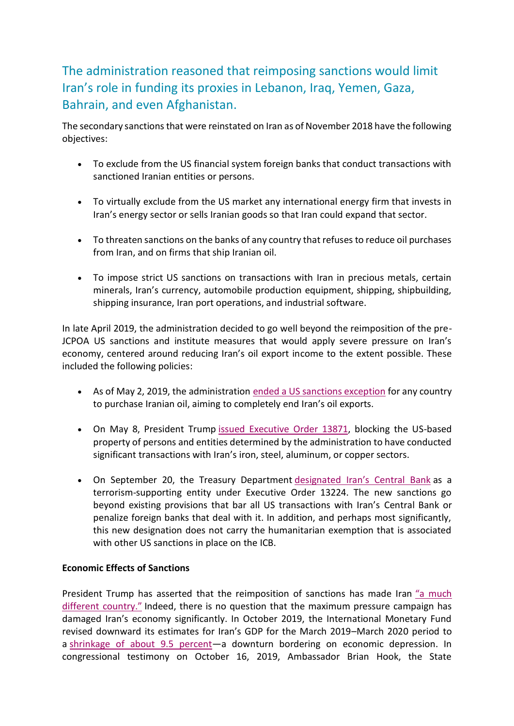The administration reasoned that reimposing sanctions would limit Iran's role in funding its proxies in Lebanon, Iraq, Yemen, Gaza, Bahrain, and even Afghanistan.

The secondary sanctions that were reinstated on Iran as of November 2018 have the following objectives:

- To exclude from the US financial system foreign banks that conduct transactions with sanctioned Iranian entities or persons.
- To virtually exclude from the US market any international energy firm that invests in Iran's energy sector or sells Iranian goods so that Iran could expand that sector.
- To threaten sanctions on the banks of any country that refuses to reduce oil purchases from Iran, and on firms that ship Iranian oil.
- To impose strict US sanctions on transactions with Iran in precious metals, certain minerals, Iran's currency, automobile production equipment, shipping, shipbuilding, shipping insurance, Iran port operations, and industrial software.

In late April 2019, the administration decided to go well beyond the reimposition of the pre-JCPOA US sanctions and institute measures that would apply severe pressure on Iran's economy, centered around reducing Iran's oil export income to the extent possible. These included the following policies:

- As of May 2, 2019, the administration ended a US sanctions [exception](https://www.cnbc.com/2019/05/02/us-plan-to-choke-off-iran-oil-exports-casts-uncertainty-over-market.html) for any country to purchase Iranian oil, aiming to completely end Iran's oil exports.
- On May 8, President Trump issued [Executive](https://www.whitehouse.gov/presidential-actions/executive-order-imposing-sanctions-respect-iron-steel-aluminum-copper-sectors-iran/) Order 13871, blocking the US-based property of persons and entities determined by the administration to have conducted significant transactions with Iran's iron, steel, aluminum, or copper sectors.
- On September 20, the Treasury Department [designated](https://home.treasury.gov/news/press-releases/sm780) Iran's Central Bank as a terrorism-supporting entity under Executive Order 13224. The new sanctions go beyond existing provisions that bar all US transactions with Iran's Central Bank or penalize foreign banks that deal with it. In addition, and perhaps most significantly, this new designation does not carry the humanitarian exemption that is associated with other US sanctions in place on the ICB.

## **Economic Effects of Sanctions**

President Trump has asserted that the reimposition of sanctions has made Iran "a [much](https://www.cnbc.com/video/2018/11/02/trump-iran-is-not-the-same-country-as-when-i-started.html) different [country."](https://www.cnbc.com/video/2018/11/02/trump-iran-is-not-the-same-country-as-when-i-started.html) Indeed, there is no question that the maximum pressure campaign has damaged Iran's economy significantly. In October 2019, the International Monetary Fund revised downward its estimates for Iran's GDP for the March 2019–March 2020 period to a [shrinkage](https://www.france24.com/en/20191015-imf-sharply-cuts-iran-saudi-growth-forecasts) of about 9.5 percent-a downturn bordering on economic depression. In congressional testimony on October 16, 2019, Ambassador Brian Hook, the State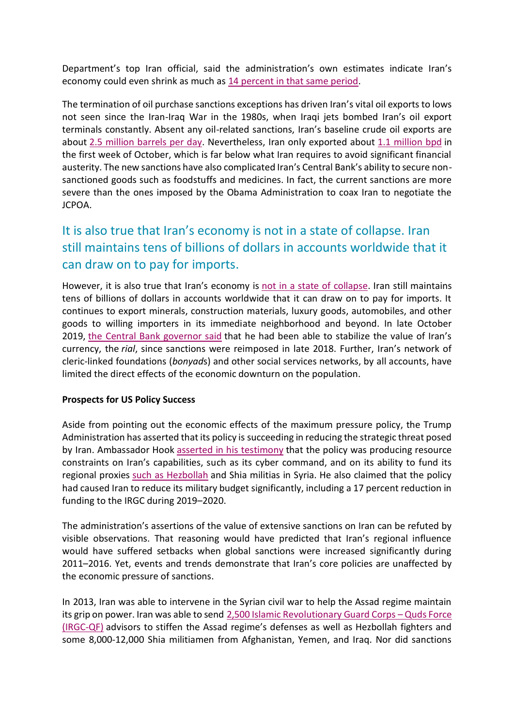Department's top Iran official, said the administration's own estimates indicate Iran's economy could even shrink as much as 14 [percent](https://www.foreign.senate.gov/download/hook-testimony-101619) in that same period.

The termination of oil purchase sanctions exceptions has driven Iran's vital oil exports to lows not seen since the Iran-Iraq War in the 1980s, when Iraqi jets bombed Iran's oil export terminals constantly. Absent any oil-related sanctions, Iran's baseline crude oil exports are about 2.5 million [barrels](https://www.reuters.com/article/us-iran-oil-exports/irans-crude-exports-slide-to-500000-bpd-or-less-sources-idUSKCN1SN2G4) per day. Nevertheless, Iran only exported about 1.1 [million](https://oilprice.com/Energy/Crude-Oil/Irans-Crude-Exports-Plunge-To-11-Million-Bpd.html) bpd in the first week of October, which is far below what Iran requires to avoid significant financial austerity. The new sanctions have also complicated Iran's Central Bank's ability to secure nonsanctioned goods such as foodstuffs and medicines. In fact, the current sanctions are more severe than the ones imposed by the Obama Administration to coax Iran to negotiate the JCPOA.

# It is also true that Iran's economy is not in a state of collapse. Iran still maintains tens of billions of dollars in accounts worldwide that it can draw on to pay for imports.

However, it is also true that Iran's economy is not in a state of [collapse.](https://www.washingtonpost.com/opinions/2019/09/28/memo-president-trump-iran-is-not-about-collapse/) Iran still maintains tens of billions of dollars in accounts worldwide that it can draw on to pay for imports. It continues to export minerals, construction materials, luxury goods, automobiles, and other goods to willing importers in its immediate neighborhood and beyond. In late October 2019, the Central Bank [governor](https://www.al-monitor.com/pulse/originals/2019/10/iran-central-bank-governor-hemmati-rial-economy.html?utm_campaign=20191022&utm_source=sailthru&utm_medium=email&utm_term=Daily%20Newsletter) said that he had been able to stabilize the value of Iran's currency, the *rial*, since sanctions were reimposed in late 2018. Further, Iran's network of cleric-linked foundations (*bonyad*s) and other social services networks, by all accounts, have limited the direct effects of the economic downturn on the population.

## **Prospects for US Policy Success**

Aside from pointing out the economic effects of the maximum pressure policy, the Trump Administration has asserted that its policy is succeeding in reducing the strategic threat posed by Iran. Ambassador Hook asserted in his [testimony](https://www.foreign.senate.gov/download/hook-testimony-101619) that the policy was producing resource constraints on Iran's capabilities, such as its cyber command, and on its ability to fund its regional proxies such as [Hezbollah](https://www.washingtonpost.com/world/middle_east/trumps-sanctions-on-iran-are-hitting-hezbollah-hard/2019/05/18/970bc656-5d48-11e9-98d4-844088d135f2_story.html) and Shia militias in Syria. He also claimed that the policy had caused Iran to reduce its military budget significantly, including a 17 percent reduction in funding to the IRGC during 2019–2020.

The administration's assertions of the value of extensive sanctions on Iran can be refuted by visible observations. That reasoning would have predicted that Iran's regional influence would have suffered setbacks when global sanctions were increased significantly during 2011–2016. Yet, events and trends demonstrate that Iran's core policies are unaffected by the economic pressure of sanctions.

In 2013, Iran was able to intervene in the Syrian civil war to help the Assad regime maintain its grip on power. Iran was able to send 2,500 Islamic [Revolutionary](https://www.csis.org/analysis/escalating-conflict-hezbollah-syria) Guard Corps - Quds Force [\(IRGC-QF\)](https://www.csis.org/analysis/escalating-conflict-hezbollah-syria) advisors to stiffen the Assad regime's defenses as well as Hezbollah fighters and some 8,000-12,000 Shia militiamen from Afghanistan, Yemen, and Iraq. Nor did sanctions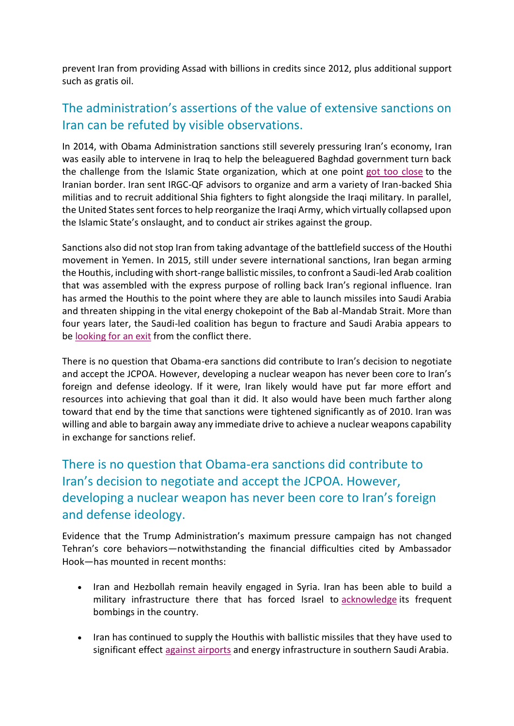prevent Iran from providing Assad with billions in credits since 2012, plus additional support such as gratis oil.

# The administration's assertions of the value of extensive sanctions on Iran can be refuted by visible observations.

In 2014, with Obama Administration sanctions still severely pressuring Iran's economy, Iran was easily able to intervene in Iraq to help the beleaguered Baghdad government turn back the challenge from the Islamic State organization, which at one point got too [close](https://www.chathamhouse.org/sites/default/files/field/field_publication_docs/INTA91_1_01_Esfandiary_Tabatabai.pdf) to the Iranian border. Iran sent IRGC-QF advisors to organize and arm a variety of Iran-backed Shia militias and to recruit additional Shia fighters to fight alongside the Iraqi military. In parallel, the United States sent forces to help reorganize the Iraqi Army, which virtually collapsed upon the Islamic State's onslaught, and to conduct air strikes against the group.

Sanctions also did not stop Iran from taking advantage of the battlefield success of the Houthi movement in Yemen. In 2015, still under severe international sanctions, Iran began arming the Houthis, including with short-range ballistic missiles, to confront a Saudi-led Arab coalition that was assembled with the express purpose of rolling back Iran's regional influence. Iran has armed the Houthis to the point where they are able to launch missiles into Saudi Arabia and threaten shipping in the vital energy chokepoint of the Bab al-Mandab Strait. More than four years later, the Saudi-led coalition has begun to fracture and Saudi Arabia appears to be [looking](https://www.nytimes.com/2019/07/11/world/middleeast/yemen-emirates-saudi-war.html) for an exit from the conflict there.

There is no question that Obama-era sanctions did contribute to Iran's decision to negotiate and accept the JCPOA. However, developing a nuclear weapon has never been core to Iran's foreign and defense ideology. If it were, Iran likely would have put far more effort and resources into achieving that goal than it did. It also would have been much farther along toward that end by the time that sanctions were tightened significantly as of 2010. Iran was willing and able to bargain away any immediate drive to achieve a nuclear weapons capability in exchange for sanctions relief.

There is no question that Obama-era sanctions did contribute to Iran's decision to negotiate and accept the JCPOA. However, developing a nuclear weapon has never been core to Iran's foreign and defense ideology.

Evidence that the Trump Administration's maximum pressure campaign has not changed Tehran's core behaviors—notwithstanding the financial difficulties cited by Ambassador Hook—has mounted in recent months:

- Iran and Hezbollah remain heavily engaged in Syria. Iran has been able to build a military infrastructure there that has forced Israel to [acknowledge](https://www.bbc.com/news/world-middle-east-49464546) its frequent bombings in the country.
- Iran has continued to supply the Houthis with ballistic missiles that they have used to significant effect against [airports](https://www.reuters.com/article/us-yemen-security-abha/yemens-houthis-attack-saudi-arabias-abha-airport-spokesman-idUSKCN1VI2M0) and energy infrastructure in southern Saudi Arabia.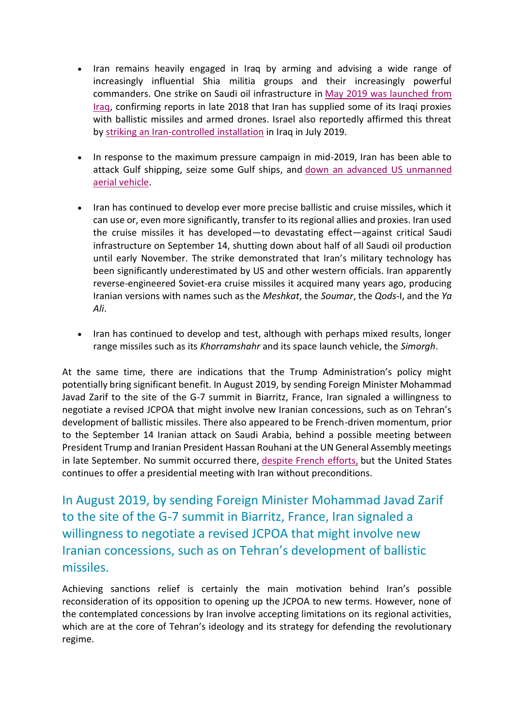- Iran remains heavily engaged in Iraq by arming and advising a wide range of increasingly influential Shia militia groups and their increasingly powerful commanders. One strike on Saudi oil infrastructure in May 2019 was [launched](https://www.wsj.com/articles/u-s-saudi-pipeline-attacks-originated-from-iraq-11561741133) from [Iraq,](https://www.wsj.com/articles/u-s-saudi-pipeline-attacks-originated-from-iraq-11561741133) confirming reports in late 2018 that Iran has supplied some of its Iraqi proxies with ballistic missiles and armed drones. Israel also reportedly affirmed this threat by striking an [Iran-controlled](https://www.militarytimes.com/flashpoints/2019/08/23/us-officials-confirm-israeli-strike-in-iraq/) installation in Iraq in July 2019.
- In response to the maximum pressure campaign in mid-2019, Iran has been able to attack Gulf shipping, seize some Gulf ships, and down an advanced US [unmanned](https://www.cnn.com/2019/06/20/middleeast/iran-drone-claim-hnk-intl/index.html) aerial [vehicle.](https://www.cnn.com/2019/06/20/middleeast/iran-drone-claim-hnk-intl/index.html)
- Iran has continued to develop ever more precise ballistic and cruise missiles, which it can use or, even more significantly, transfer to its regional allies and proxies. Iran used the cruise missiles it has developed—to devastating effect—against critical Saudi infrastructure on September 14, shutting down about half of all Saudi oil production until early November. The strike demonstrated that Iran's military technology has been significantly underestimated by US and other western officials. Iran apparently reverse-engineered Soviet-era cruise missiles it acquired many years ago, producing Iranian versions with names such as the *Meshkat*, the *Soumar*, the *Qods*-I, and the *Ya Ali*.
- Iran has continued to develop and test, although with perhaps mixed results, longer range missiles such as its *Khorramshahr* and its space launch vehicle, the *Simorgh*.

At the same time, there are indications that the Trump Administration's policy might potentially bring significant benefit. In August 2019, by sending Foreign Minister Mohammad Javad Zarif to the site of the G-7 summit in Biarritz, France, Iran signaled a willingness to negotiate a revised JCPOA that might involve new Iranian concessions, such as on Tehran's development of ballistic missiles. There also appeared to be French-driven momentum, prior to the September 14 Iranian attack on Saudi Arabia, behind a possible meeting between President Trump and Iranian President Hassan Rouhani at the UN General Assembly meetings in late September. No summit occurred there, [despite](https://www.wsj.com/articles/macron-tried-to-broker-meeting-between-trump-irans-president-11569380894) French efforts, but the United States continues to offer a presidential meeting with Iran without preconditions.

In August 2019, by sending Foreign Minister Mohammad Javad Zarif to the site of the G-7 summit in Biarritz, France, Iran signaled a willingness to negotiate a revised JCPOA that might involve new Iranian concessions, such as on Tehran's development of ballistic missiles.

Achieving sanctions relief is certainly the main motivation behind Iran's possible reconsideration of its opposition to opening up the JCPOA to new terms. However, none of the contemplated concessions by Iran involve accepting limitations on its regional activities, which are at the core of Tehran's ideology and its strategy for defending the revolutionary regime.